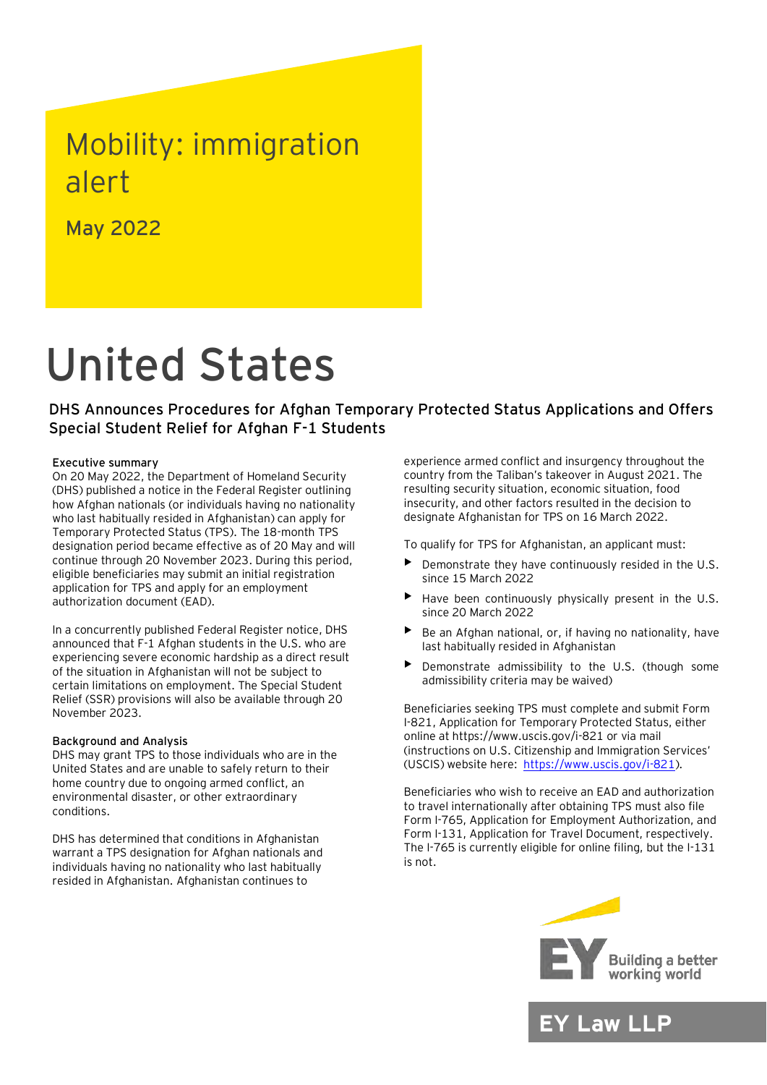## Mobility: immigration alert

May 2022

# United States

DHS Announces Procedures for Afghan Temporary Protected Status Applications and Offers Special Student Relief for Afghan F-1 Students

#### Executive summary

On 20 May 2022, the Department of Homeland Security (DHS) published a notice in the Federal Register outlining how Afghan nationals (or individuals having no nationality who last habitually resided in Afghanistan) can apply for Temporary Protected Status (TPS). The 18-month TPS designation period became effective as of 20 May and will continue through 20 November 2023. During this period, eligible beneficiaries may submit an initial registration application for TPS and apply for an employment authorization document (EAD).

In a concurrently published Federal Register notice, DHS announced that F-1 Afghan students in the U.S. who are experiencing severe economic hardship as a direct result of the situation in Afghanistan will not be subject to certain limitations on employment. The Special Student Relief (SSR) provisions will also be available through 20 November 2023.

#### Background and Analysis

DHS may grant TPS to those individuals who are in the United States and are unable to safely return to their home country due to ongoing armed conflict, an environmental disaster, or other extraordinary conditions.

DHS has determined that conditions in Afghanistan warrant a TPS designation for Afghan nationals and individuals having no nationality who last habitually resided in Afghanistan. Afghanistan continues to

experience armed conflict and insurgency throughout the country from the Taliban's takeover in August 2021. The resulting security situation, economic situation, food insecurity, and other factors resulted in the decision to designate Afghanistan for TPS on 16 March 2022.

To qualify for TPS for Afghanistan, an applicant must:

- Demonstrate they have continuously resided in the U.S. since 15 March 2022
- Have been continuously physically present in the U.S. since 20 March 2022
- Be an Afghan national, or, if having no nationality, have last habitually resided in Afghanistan
- Demonstrate admissibility to the U.S. (though some admissibility criteria may be waived)

Beneficiaries seeking TPS must complete and submit Form I-821, Application for Temporary Protected Status, either online at https://www.uscis.gov/i-821 or via mail (instructions on U.S. Citizenship and Immigration Services' (USCIS) website here: [https://www.uscis.gov/i-821\)](https://www.uscis.gov/i-821).

Beneficiaries who wish to receive an EAD and authorization to travel internationally after obtaining TPS must also file Form I-765, Application for Employment Authorization, and Form I-131, Application for Travel Document, respectively. The I-765 is currently eligible for online filing, but the I-131 is not.